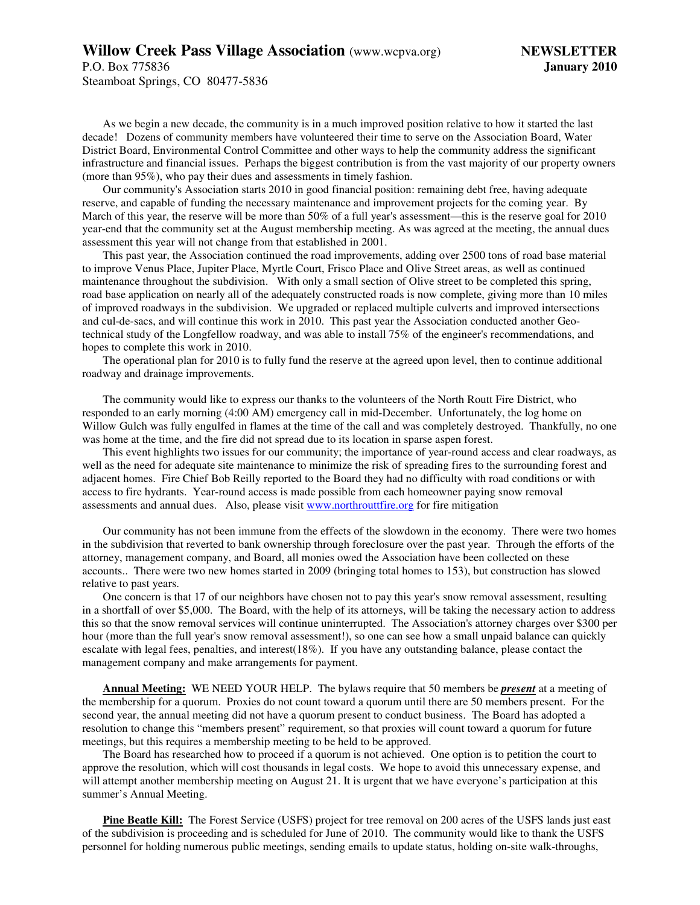## **Willow Creek Pass Village Association** (www.wcpva.org) **NEWSLETTER**

Steamboat Springs, CO 80477-5836

As we begin a new decade, the community is in a much improved position relative to how it started the last decade! Dozens of community members have volunteered their time to serve on the Association Board, Water District Board, Environmental Control Committee and other ways to help the community address the significant infrastructure and financial issues. Perhaps the biggest contribution is from the vast majority of our property owners (more than 95%), who pay their dues and assessments in timely fashion.

Our community's Association starts 2010 in good financial position: remaining debt free, having adequate reserve, and capable of funding the necessary maintenance and improvement projects for the coming year. By March of this year, the reserve will be more than 50% of a full year's assessment—this is the reserve goal for 2010 year-end that the community set at the August membership meeting. As was agreed at the meeting, the annual dues assessment this year will not change from that established in 2001.

This past year, the Association continued the road improvements, adding over 2500 tons of road base material to improve Venus Place, Jupiter Place, Myrtle Court, Frisco Place and Olive Street areas, as well as continued maintenance throughout the subdivision. With only a small section of Olive street to be completed this spring, road base application on nearly all of the adequately constructed roads is now complete, giving more than 10 miles of improved roadways in the subdivision. We upgraded or replaced multiple culverts and improved intersections and cul-de-sacs, and will continue this work in 2010. This past year the Association conducted another Geotechnical study of the Longfellow roadway, and was able to install 75% of the engineer's recommendations, and hopes to complete this work in 2010.

The operational plan for 2010 is to fully fund the reserve at the agreed upon level, then to continue additional roadway and drainage improvements.

The community would like to express our thanks to the volunteers of the North Routt Fire District, who responded to an early morning (4:00 AM) emergency call in mid-December. Unfortunately, the log home on Willow Gulch was fully engulfed in flames at the time of the call and was completely destroyed. Thankfully, no one was home at the time, and the fire did not spread due to its location in sparse aspen forest.

This event highlights two issues for our community; the importance of year-round access and clear roadways, as well as the need for adequate site maintenance to minimize the risk of spreading fires to the surrounding forest and adjacent homes. Fire Chief Bob Reilly reported to the Board they had no difficulty with road conditions or with access to fire hydrants. Year-round access is made possible from each homeowner paying snow removal assessments and annual dues. Also, please visit www.northrouttfire.org for fire mitigation

Our community has not been immune from the effects of the slowdown in the economy. There were two homes in the subdivision that reverted to bank ownership through foreclosure over the past year. Through the efforts of the attorney, management company, and Board, all monies owed the Association have been collected on these accounts.. There were two new homes started in 2009 (bringing total homes to 153), but construction has slowed relative to past years.

One concern is that 17 of our neighbors have chosen not to pay this year's snow removal assessment, resulting in a shortfall of over \$5,000. The Board, with the help of its attorneys, will be taking the necessary action to address this so that the snow removal services will continue uninterrupted. The Association's attorney charges over \$300 per hour (more than the full year's snow removal assessment!), so one can see how a small unpaid balance can quickly escalate with legal fees, penalties, and interest(18%). If you have any outstanding balance, please contact the management company and make arrangements for payment.

**Annual Meeting:** WE NEED YOUR HELP. The bylaws require that 50 members be *present* at a meeting of the membership for a quorum. Proxies do not count toward a quorum until there are 50 members present. For the second year, the annual meeting did not have a quorum present to conduct business. The Board has adopted a resolution to change this "members present" requirement, so that proxies will count toward a quorum for future meetings, but this requires a membership meeting to be held to be approved.

The Board has researched how to proceed if a quorum is not achieved. One option is to petition the court to approve the resolution, which will cost thousands in legal costs. We hope to avoid this unnecessary expense, and will attempt another membership meeting on August 21. It is urgent that we have everyone's participation at this summer's Annual Meeting.

**Pine Beatle Kill:** The Forest Service (USFS) project for tree removal on 200 acres of the USFS lands just east of the subdivision is proceeding and is scheduled for June of 2010. The community would like to thank the USFS personnel for holding numerous public meetings, sending emails to update status, holding on-site walk-throughs,